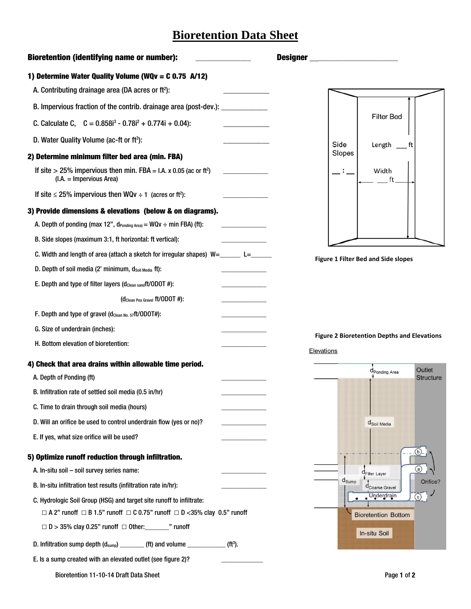## **Bioretention Data Sheet**

| <b>Bioretention (identifying name or number):</b>                                                           | <b>Designer</b>                                                  |
|-------------------------------------------------------------------------------------------------------------|------------------------------------------------------------------|
| 1) Determine Water Quality Volume (WQv = $C$ 0.75 A/12)                                                     |                                                                  |
| A. Contributing drainage area (DA acres or ft <sup>2</sup> ):                                               |                                                                  |
| B. Impervious fraction of the contrib. drainage area (post-dev.): ______________                            |                                                                  |
| C. Calculate C, $C = 0.858i^3 - 0.78i^2 + 0.774i + 0.04$ :                                                  | <b>Filter Bed</b>                                                |
| D. Water Quality Volume (ac-ft or ft <sup>3</sup> ):                                                        | Side<br>Length                                                   |
| 2) Determine minimum filter bed area (min. FBA)                                                             | Slopes                                                           |
| If site > 25% impervious then min. FBA = I.A. x 0.05 (ac or ft <sup>2</sup> )<br>$(I.A. = Impervious Area)$ | Width<br>ft                                                      |
| If site $\leq$ 25% impervious then WQv $\div$ 1 (acres or ft <sup>2</sup> ):                                |                                                                  |
| 3) Provide dimensions & elevations (below & on diagrams).                                                   |                                                                  |
| A. Depth of ponding (max 12", $d_{\text{Ponding Area}} = WQv \div min$ FBA) (ft):                           |                                                                  |
| B. Side slopes (maximum 3:1, ft horizontal: ft vertical):                                                   |                                                                  |
| C. Width and length of area (attach a sketch for irregular shapes) $W =$ _______ L=                         | Figure 1 Filter Bed and Side slopes                              |
| D. Depth of soil media (2' minimum, dsoil Media ft):                                                        |                                                                  |
| E. Depth and type of filter layers (d <sub>Clean sand</sub> ft/ODOT #):                                     |                                                                  |
| (d <sub>Clean Pea Gravel</sub> ft/ODOT #):                                                                  |                                                                  |
| F. Depth and type of gravel (dclean No. 57ft/ODOT#):                                                        |                                                                  |
| G. Size of underdrain (inches):                                                                             |                                                                  |
| H. Bottom elevation of bioretention:                                                                        | <b>Figure 2 Bioretention Depths and Elevations</b><br>Elevations |
| 4) Check that area drains within allowable time period.                                                     | Outlet                                                           |
| A. Depth of Ponding (ft)                                                                                    | d <sub>Ponding</sub> Area<br><b>Structure</b>                    |
| B. Infiltration rate of settled soil media (0.5 in/hr)                                                      |                                                                  |
| C. Time to drain through soil media (hours)                                                                 |                                                                  |
| D. Will an orifice be used to control underdrain flow (yes or no)?                                          | d <sub>Soil</sub> Media                                          |
| E. If yes, what size orifice will be used?                                                                  |                                                                  |
| 5) Optimize runoff reduction through infiltration.                                                          | (b)                                                              |
| A. In-situ soil - soil survey series name:                                                                  | (a)<br><b>C</b> Filter Layer                                     |
| B. In-situ infiltration test results (infiltration rate in/hr):                                             | $d_{\text{Sump}}$<br>Orifice?<br>Coarse Gravel                   |
| C. Hydrologic Soil Group (HSG) and target site runoff to infiltrate:                                        | Underdrain                                                       |
| $\Box$ A 2" runoff $\Box$ B 1.5" runoff $\Box$ C 0.75" runoff $\Box$ D <35% clay 0.5" runoff                | <b>Bioretention Bottom</b>                                       |
| $\Box$ D > 35% clay 0.25" runoff $\Box$ Other:________" runoff                                              | In-situ Soil                                                     |
| D. Infiltration sump depth (d <sub>sump</sub> ) _________ (ft) and volume ______________<br>$(H3)$ .        |                                                                  |
| E. Is a sump created with an elevated outlet (see figure 2)?                                                |                                                                  |